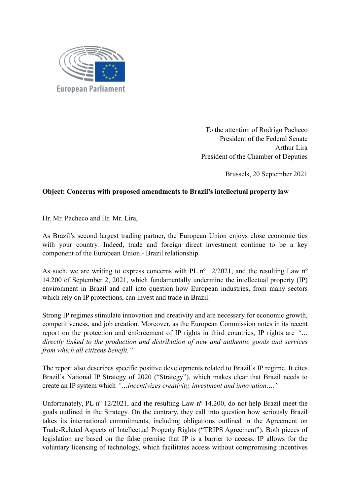

To the attention of Rodrigo Pacheco President of the Federal Senate Arthur Lira President of the Chamber of Deputies

Brussels, 20 September 2021

## **Object: Concerns with proposed amendments to Brazil's intellectual property law**

Hr. Mr. Pacheco and Hr. Mr. Lira,

As Brazil's second largest trading partner, the European Union enjoys close economic ties with your country. Indeed, trade and foreign direct investment continue to be a key component of the European Union - Brazil relationship.

As such, we are writing to express concerns with PL n<sup>o</sup> 12/2021, and the resulting Law n<sup>o</sup> 14.200 of September 2, 2021, which fundamentally undermine the intellectual property (IP) environment in Brazil and call into question how European industries, from many sectors which rely on IP protections, can invest and trade in Brazil.

Strong IP regimes stimulate innovation and creativity and are necessary for economic growth, competitiveness, and job creation. Moreover, as the European Commission notes in its recent report on the protection and enforcement of IP rights in third countries, IP rights are *"… directly linked to the production and distribution of new and authentic goods and services from which all citizens benefit."*

The report also describes specific positive developments related to Brazil's IP regime. It cites Brazil's National IP Strategy of 2020 ("Strategy"), which makes clear that Brazil needs to create an IP system which *"…incentivizes creativity, investment and innovation…."*

Unfortunately, PL nº 12/2021, and the resulting Law nº 14.200, do not help Brazil meet the goals outlined in the Strategy. On the contrary, they call into question how seriously Brazil takes its international commitments, including obligations outlined in the Agreement on Trade-Related Aspects of Intellectual Property Rights ("TRIPS Agreement"). Both pieces of legislation are based on the false premise that IP is a barrier to access. IP allows for the voluntary licensing of technology, which facilitates access without compromising incentives